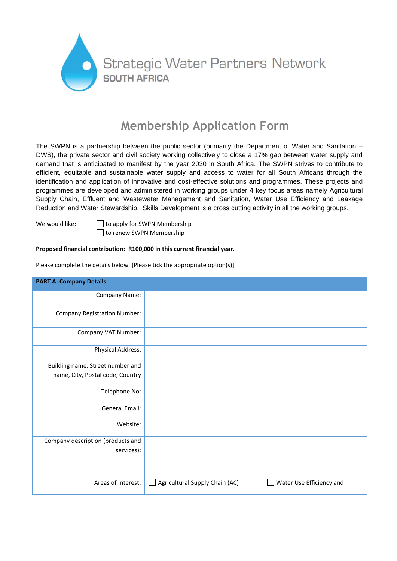

# **Membership Application Form**

The SWPN is a partnership between the public sector (primarily the Department of Water and Sanitation – DWS), the private sector and civil society working collectively to close a 17% gap between water supply and demand that is anticipated to manifest by the year 2030 in South Africa. The SWPN strives to contribute to efficient, equitable and sustainable water supply and access to water for all South Africans through the identification and application of innovative and cost-effective solutions and programmes. These projects and programmes are developed and administered in working groups under 4 key focus areas namely Agricultural Supply Chain, Effluent and Wastewater Management and Sanitation, Water Use Efficiency and Leakage Reduction and Water Stewardship. Skills Development is a cross cutting activity in all the working groups.

We would like:  $\Box$  to apply for SWPN Membership □ to renew SWPN Membership

## **Proposed financial contribution: R100,000 in this current financial year.**

| <b>PART A: Company Details</b>      |                                                            |
|-------------------------------------|------------------------------------------------------------|
| Company Name:                       |                                                            |
| <b>Company Registration Number:</b> |                                                            |
| Company VAT Number:                 |                                                            |
| <b>Physical Address:</b>            |                                                            |
| Building name, Street number and    |                                                            |
| name, City, Postal code, Country    |                                                            |
| Telephone No:                       |                                                            |
| General Email:                      |                                                            |
| Website:                            |                                                            |
| Company description (products and   |                                                            |
| services):                          |                                                            |
| Areas of Interest:                  | Water Use Efficiency and<br>Agricultural Supply Chain (AC) |

Please complete the details below. [Please tick the appropriate option(s)]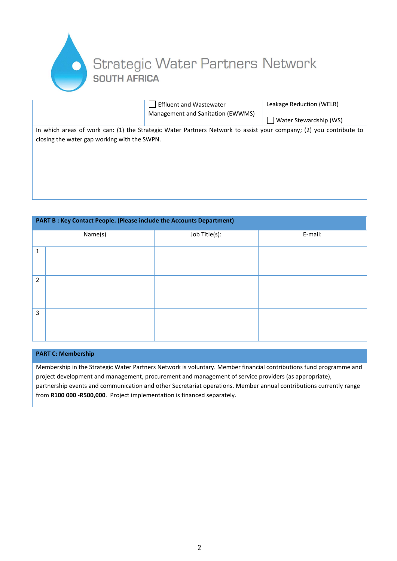

|                                                                                                                    | <b>Effluent and Wastewater</b>    | Leakage Reduction (WELR) |  |  |
|--------------------------------------------------------------------------------------------------------------------|-----------------------------------|--------------------------|--|--|
|                                                                                                                    | Management and Sanitation (EWWMS) |                          |  |  |
|                                                                                                                    |                                   | Water Stewardship (WS)   |  |  |
| In which areas of work can: (1) the Strategic Water Partners Network to assist your company; (2) you contribute to |                                   |                          |  |  |
| closing the water gap working with the SWPN.                                                                       |                                   |                          |  |  |
|                                                                                                                    |                                   |                          |  |  |
|                                                                                                                    |                                   |                          |  |  |

### **PART B : Key Contact People. (Please include the Accounts Department)**

|                | Name(s) | Job Title(s): | E-mail: |
|----------------|---------|---------------|---------|
|                |         |               |         |
| $\mathbf{1}$   |         |               |         |
| $\overline{2}$ |         |               |         |
| $\overline{3}$ |         |               |         |

#### **PART C: Membership**

Membership in the Strategic Water Partners Network is voluntary. Member financial contributions fund programme and project development and management, procurement and management of service providers (as appropriate), partnership events and communication and other Secretariat operations. Member annual contributions currently range from **R100 000 -R500,000**. Project implementation is financed separately.